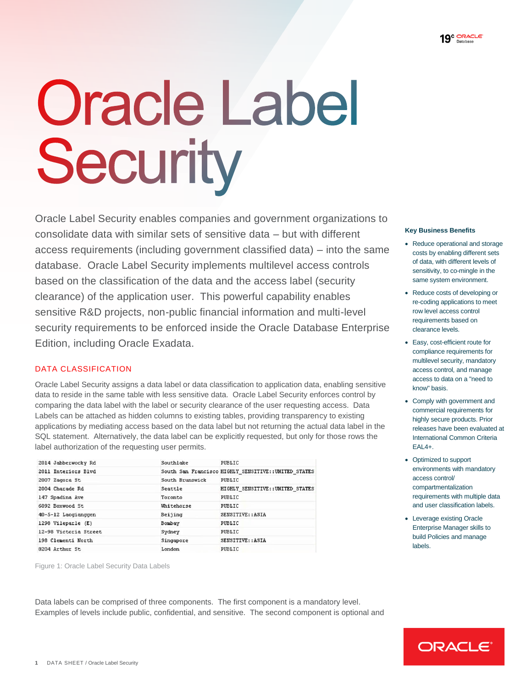# **Oracle Label** Security

 **Key Business Benefits** consolidate data with similar sets of sensitive data – but with different Reduce operational and storage access requirements (including government classified data) – into the same scosts by enabling different sets database. Oracle Label Security implements multilevel access controls of data, with different levels of earth of the co-mingle in the based on the classification of the data and the access label (security same system environment. clearance) of the application user. This powerful capability enables **re-coding applications to meet** re-coding applications to meet security requirements to be enforced inside the Oracle Database Enterprise clearance levels. Oracle Label Security enables companies and government organizations to sensitive R&D projects, non-public financial information and multi-level Edition, including Oracle Exadata.

## DATA CLASSIFICATION

data to reside in the same table with less sensitive data. Oracle Label Security enforces control by i. Labels can be attached as hidden columns to existing tables, providing transparency to existing SQL statement. Alternatively, the data label can be explicitly requested, but only for those rows the International Common Criteria Oracle Label Security assigns a data label or data classification to application data, enabling sensitive know basis data to reside in the same table with less sensitive data. Oracle Label Security enforces control by<br>
comparing the data label with the label or security clearance of the user requesting access. Data<br>
Labels can be attache applications by mediating access based on the data label but not returning the actual data label in the label authorization of the requesting user permits. The result of the state of the result of the reduction of the requesting user permits.

| 2014 Jabberwocky Rd   | Southlake       | PUBLIC                                               |
|-----------------------|-----------------|------------------------------------------------------|
| 2011 Interiors Blvd   |                 | South San Francisco HIGHLY SENSITIVE:: UNITED STATES |
| 2007 Zagora St        | South Brunswick | PUBLIC                                               |
| 2004 Charade Rd       | Seattle         | HIGHLY SENSITIVE:: UNITED STATES                     |
| 147 Spadina Ave       | Toronto         | PUBLIC                                               |
| 6092 Boxwood St       | Uhitehorse      | PUBLIC                                               |
| 40-5-12 Laogianggen   | Beijing         | SENSITIVE: : ASIA                                    |
| 1298 Vileparle (E)    | Bombay          | PUBLIC                                               |
| 12-98 Victoria Street | Sydney          | PUBLIC                                               |
| 198 Clementi North    | Singapore       | SENSITIVE: : ASIA                                    |
| 8204 Arthur St        | London          | PUBLIC                                               |

Figure 1: Oracle Label Security Data Labels

 Data labels can be comprised of three components. The first component is a mandatory level. Examples of levels include public, confidential, and sensitive. The second component is optional and

- Reduce operational and storage costs by enabling different sets of data, with different levels of sensitivity, to co-mingle in the same system environment.
- Reduce costs of developing or re-coding applications to meet row level access control requirements based on
- · Easy cost-efficient route for compliance requirements for multilevel security, mandatory access control, and manage access to data on a "need to
- Comply with government and commercial requirements for highly secure products. Prior releases have been evaluated at International Common Criteria
- Optimized to support environments with mandatory access control/ requirements with multiple data and user classification labels. compartmentalization
- Leverage existing Oracle Enterprise Manager skills to build Policies and manage labels.

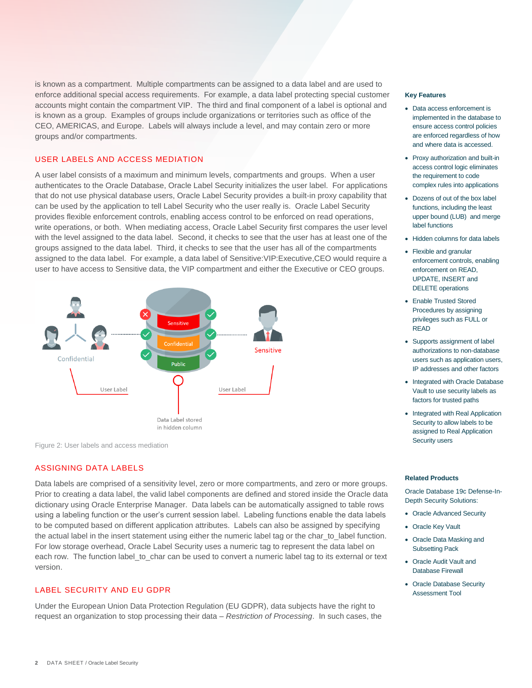is known as a compartment. Multiple compartments can be assigned to a data label and are used to accounts might contain the compartment VIP. The third and final component of a label is optional and is known as a group. Examples of groups include organizations or territories such as office of the CEO, AMERICAS, and Europe. Labels will always include a level, and may contain zero or more enforce additional special access requirements. For example, a data label protecting special customer **Key Features** groups and/or compartments.

## USER LABELS AND ACCESS MEDIATION

 A user label consists of a maximum and minimum levels, compartments and groups. When a user authenticates to the Oracle Database, Oracle Label Security initializes the user label. For applications can be used by the application to tell Label Security who the user really is. Oracle Label Security write operations, or both. When mediating access, Oracle Label Security first compares the user level with the level assigned to the data label. Second, it checks to see that the user has at least one of the groups assigned to the data label. Third, it checks to see that the user has all of the compartments assigned to the data label. For example, a data label of Sensitive:VIP:Executive,CEO would require a that do not use physical database users, Oracle Label Security provides a built-in proxy capability that provides flexible enforcement controls, enabling access control to be enforced on read operations, user to have access to Sensitive data, the VIP compartment and either the Executive or CEO groups.



Figure 2: User labels and access mediation

## ASSIGNING DATA LABELS

 Prior to creating a data label, the valid label components are defined and stored inside the Oracle data dictionary using Oracle Enterprise Manager. Data labels can be automatically assigned to table rows using a labeling function or the user's current session label. Labeling functions enable the data labels the actual label in the insert statement using either the numeric label tag or the char\_to\_label function. each row. The function label\_to\_char can be used to convert a numeric label tag to its external or text Data labels are comprised of a sensitivity level, zero or more compartments, and zero or more groups. to be computed based on different application attributes. Labels can also be assigned by specifying For low storage overhead, Oracle Label Security uses a numeric tag to represent the data label on version.

## LABEL SECURITY AND EU GDPR

 request an organization to stop processing their data – *Restriction of Processing*. In such cases, the Under the European Union Data Protection Regulation (EU GDPR), data subjects have the right to

- Data access enforcement is implemented in the database to ensure access control policies are enforced regardless of how and where data is accessed.
- Proxy authorization and built-in access control logic eliminates the requirement to code complex rules into applications
- Dozens of out of the box label functions, including the least upper bound (LUB) and merge label functions
- Hidden columns for data labels
- Flexible and granular enforcement controls, enabling enforcement on READ, UPDATE, INSERT and DELETE operations
- Enable Trusted Stored Procedures by assigning privileges such as FULL or READ
- Supports assignment of label authorizations to non-database users such as application users, IP addresses and other factors
- Integrated with Oracle Database Vault to use security labels as factors for trusted paths
- Integrated with Real Application Security to allow labels to be assigned to Real Application Security users

### **Related Products**

 Oracle Database 19c Defense-In-Depth Security Solutions:

- Oracle Advanced Security
- Oracle Key Vault
- Oracle Data Masking and Subsetting Pack
- Oracle Audit Vault and Database Firewall
- Oracle Database Security Assessment Tool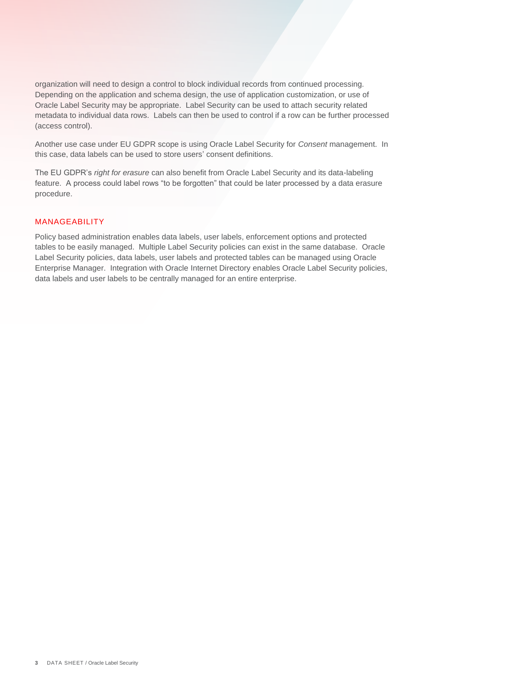Depending on the application and schema design, the use of application customization, or use of Oracle Label Security may be appropriate. Label Security can be used to attach security related organization will need to design a control to block individual records from continued processing. metadata to individual data rows. Labels can then be used to control if a row can be further processed (access control).

Another use case under EU GDPR scope is using Oracle Label Security for *Consent* management. In this case, data labels can be used to store users' consent definitions.

The EU GDPR's *right for erasure* can also benefit from Oracle Label Security and its data-labeling feature. A process could label rows "to be forgotten" that could be later processed by a data erasure procedure.

## MANAGEABILITY

 tables to be easily managed. Multiple Label Security policies can exist in the same database. Oracle Label Security policies, data labels, user labels and protected tables can be managed using Oracle Enterprise Manager. Integration with Oracle Internet Directory enables Oracle Label Security policies, data labels and user labels to be centrally managed for an entire enterprise. Policy based administration enables data labels, user labels, enforcement options and protected